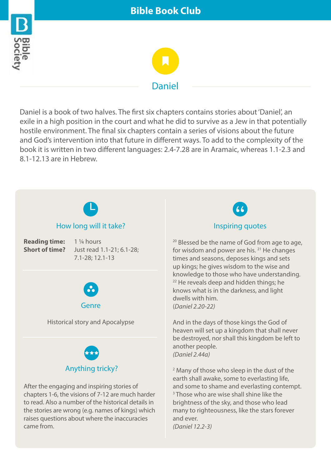



Daniel is a book of two halves. The first six chapters contains stories about 'Daniel', an exile in a high position in the court and what he did to survive as a Jew in that potentially hostile environment. The final six chapters contain a series of visions about the future and God's intervention into that future in different ways. To add to the complexity of the book it is written in two different languages: 2.4-7.28 are in Aramaic, whereas 1.1-2.3 and 8.1-12.13 are in Hebrew.



## How long will it take?

**Reading time:** 1 ¼ hours

**Short of time?** Just read 1.1-21; 6.1-28; 7.1-28; 12.1-13



Historical story and Apocalypse



After the engaging and inspiring stories of chapters 1-6, the visions of 7-12 are much harder to read. Also a number of the historical details in the stories are wrong (e.g. names of kings) which raises questions about where the inaccuracies came from.



# Inspiring quotes

<sup>20</sup> Blessed be the name of God from age to age, for wisdom and power are his. 21 He changes times and seasons, deposes kings and sets up kings; he gives wisdom to the wise and knowledge to those who have understanding. <sup>22</sup> He reveals deep and hidden things; he knows what is in the darkness, and light dwells with him. (*Daniel 2.20-22)*

And in the days of those kings the God of heaven will set up a kingdom that shall never be destroyed, nor shall this kingdom be left to another people. *(Daniel 2.44a)*

<sup>2</sup> Many of those who sleep in the dust of the earth shall awake, some to everlasting life, and some to shame and everlasting contempt. <sup>3</sup> Those who are wise shall shine like the brightness of the sky, and those who lead many to righteousness, like the stars forever and ever. *(Daniel 12.2-3)*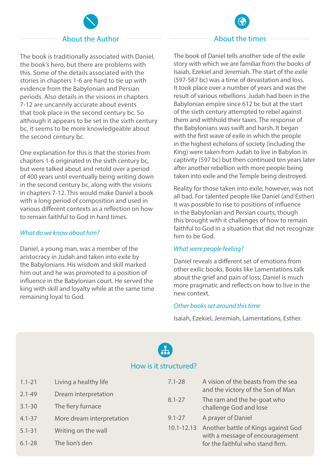# About the Author

The book is traditionally associated with Daniel, the book's hero, but there are problems with this. Some of the details associated with the stories in chapters 1-6 are hard to tie up with evidence from the Babylonian and Persian periods. Also details in the visions in chapters 7-12 are uncannily accurate about events that took place in the second century bc. So although it appears to be set in the sixth century bc, it seems to be more knowledgeable about the second century bc.

One explanation for this is that the stories from chapters 1-6 originated in the sixth century bc, but were talked about and retold over a period of 400 years until eventually being writing down in the second century bc, along with the visions in chapters 7-12. This would make Daniel a book with a long period of composition and used in various different contexts as a reflection on how to remain faithful to God in hard times.

#### *What do we know about him?*

Daniel, a young man, was a member of the aristocracy in Judah and taken into exile by the Babylonians. His wisdom and skill marked him out and he was promoted to a position of influence in the Babylonian court. He served the king with skill and loyalty while at the same time remaining loyal to God.

#### About the times

The book of Daniel tells another side of the exile story with which we are familiar from the books of Isaiah, Ezekiel and Jeremiah. The start of the exile (597-587 bc) was a time of devastation and loss. It took place over a number of years and was the result of various rebellions. Judah had been in the Babylonian empire since 612 bc but at the start of the sixth century attempted to rebel against them and withhold their taxes. The response of the Babylonians was swift and harsh. It began with the first wave of exile in which the people in the highest echelons of society (including the King) were taken from Judah to live in Babylon in captivity (597 bc) but then continued ten years later after another rebellion with more people being taken into exile and the Temple being destroyed.

Reality for those taken into exile, however, was not all bad. For talented people like Daniel (and Esther) it was possible to rise to positions of influence in the Babylonian and Persian courts, though this brought with it challenges of how to remain faithful to God in a situation that did not recognize him to be God.

#### *What were people feeling?*

Daniel reveals a different set of emotions from other exilic books. Books like Lamentations talk about the grief and pain of loss; Daniel is much more pragmatic and reflects on how to live in the new context.

#### *Other books set around this time*

Isaiah, Ezekiel, Jeremiah, Lamentations, Esther.

How is it structured?

| $1.1 - 21$ | Living a healthy life     | $7.1 - 28$     | A vision of the beasts from the sea<br>and the victory of the Son of Man<br>The ram and the he-goat who<br>challenge God and lose |
|------------|---------------------------|----------------|-----------------------------------------------------------------------------------------------------------------------------------|
| $2.1 - 49$ | Dream interpretation      | $8.1 - 27$     |                                                                                                                                   |
| $3.1 - 30$ | The fiery furnace         |                |                                                                                                                                   |
| $4.1 - 37$ | More dream interpretation | $9.1 - 27$     | A prayer of Daniel                                                                                                                |
| $5.1 - 31$ | Writing on the wall       | $10.1 - 12.13$ | Another battle of Kings against God<br>with a message of encouragement<br>for the faithful who stand firm.                        |
| $6.1 - 28$ | The lion's den            |                |                                                                                                                                   |